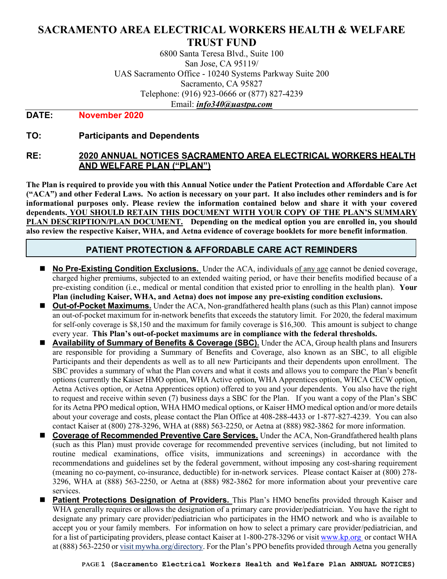# **SACRAMENTO AREA ELECTRICAL WORKERS HEALTH & WELFARE TRUST FUND**

6800 Santa Teresa Blvd., Suite 100 San Jose, CA 95119/ UAS Sacramento Office - 10240 Systems Parkway Suite 200 Sacramento, CA 95827 Telephone: (916) 923-0666 or (877) 827-4239 Email: *info340@uastpa.com*

#### **DATE: November 2020**

### **TO: Participants and Dependents**

### **RE: 2020 ANNUAL NOTICES SACRAMENTO AREA ELECTRICAL WORKERS HEALTH AND WELFARE PLAN ("PLAN")**

**The Plan is required to provide you with this Annual Notice under the Patient Protection and Affordable Care Act ("ACA") and other Federal Laws. No action is necessary on your part. It also includes other reminders and is for informational purposes only. Please review the information contained below and share it with your covered dependents. YOU SHOULD RETAIN THIS DOCUMENT WITH YOUR COPY OF THE PLAN'S SUMMARY PLAN DESCRIPTION/PLAN DOCUMENT. Depending on the medical option you are enrolled in, you should also review the respective Kaiser, WHA, and Aetna evidence of coverage booklets for more benefit information**.

### **PATIENT PROTECTION & AFFORDABLE CARE ACT REMINDERS**

- **No Pre-Existing Condition Exclusions.** Under the ACA, individuals of any age cannot be denied coverage, charged higher premiums, subjected to an extended waiting period, or have their benefits modified because of a pre-existing condition (i.e., medical or mental condition that existed prior to enrolling in the health plan). **Your Plan (including Kaiser, WHA, and Aetna) does not impose any pre-existing condition exclusions.**
- **Out-of-Pocket Maximums.** Under the ACA, Non-grandfathered health plans (such as this Plan) cannot impose an out-of-pocket maximum for in-network benefits that exceeds the statutory limit. For 2020, the federal maximum for self-only coverage is \$8,150 and the maximum for family coverage is \$16,300. This amount is subject to change every year. **This Plan's out-of-pocket maximums are in compliance with the federal thresholds.**
- **Availability of Summary of Benefits & Coverage (SBC).** Under the ACA, Group health plans and Insurers are responsible for providing a Summary of Benefits and Coverage, also known as an SBC, to all eligible Participants and their dependents as well as to all new Participants and their dependents upon enrollment. The SBC provides a summary of what the Plan covers and what it costs and allows you to compare the Plan's benefit options (currently the Kaiser HMO option, WHA Active option, WHA Apprentices option, WHCA CECW option, Aetna Actives option, or Aetna Apprentices option) offered to you and your dependents. You also have the right to request and receive within seven (7) business days a SBC for the Plan. If you want a copy of the Plan's SBC for its Aetna PPO medical option, WHA HMO medical options, or Kaiser HMO medical option and/or more details about your coverage and costs, please contact the Plan Office at 408-288-4433 or 1-877-827-4239. You can also contact Kaiser at (800) 278-3296, WHA at (888) 563-2250, or Aetna at (888) 982-3862 for more information.
- **Coverage of Recommended Preventive Care Services.** Under the ACA, Non-Grandfathered health plans (such as this Plan) must provide coverage for recommended preventive services (including, but not limited to routine medical examinations, office visits, immunizations and screenings) in accordance with the recommendations and guidelines set by the federal government, without imposing any cost-sharing requirement (meaning no co-payment, co-insurance, deductible) for in-network services. Please contact Kaiser at (800) 278- 3296, WHA at (888) 563-2250, or Aetna at (888) 982-3862 for more information about your preventive care services.
- **Patient Protections Designation of Providers.** This Plan's HMO benefits provided through Kaiser and WHA generally requires or allows the designation of a primary care provider/pediatrician. You have the right to designate any primary care provider/pediatrician who participates in the HMO network and who is available to accept you or your family members. For information on how to select a primary care provider/pediatrician, and for a list of participating providers, please contact Kaiser at 1-800-278-3296 or visi[t www.kp.org](http://www.kp.org/) or contact WHA at (888) 563-2250 or visit mywha.org/directory. For the Plan's PPO benefits provided through Aetna you generally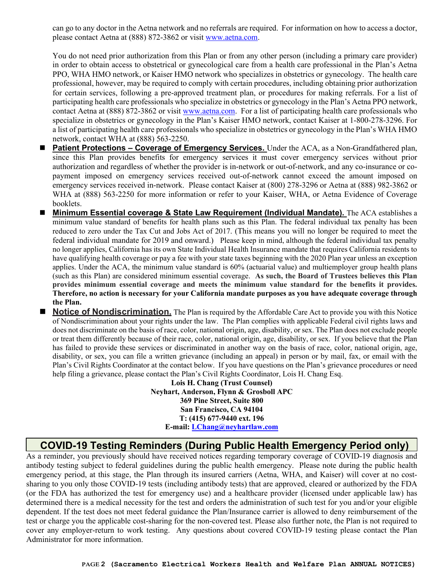can go to any doctor in the Aetna network and no referrals are required. For information on how to access a doctor, please contact Aetna at (888) 872-3862 or visit [www.aetna.com.](http://www.aetna.com/)

You do not need prior authorization from this Plan or from any other person (including a primary care provider) in order to obtain access to obstetrical or gynecological care from a health care professional in the Plan's Aetna PPO, WHA HMO network, or Kaiser HMO network who specializes in obstetrics or gynecology. The health care professional, however, may be required to comply with certain procedures, including obtaining prior authorization for certain services, following a pre-approved treatment plan, or procedures for making referrals. For a list of participating health care professionals who specialize in obstetrics or gynecology in the Plan's Aetna PPO network, contact Aetna at (888) 872-3862 or visit [www.aetna.com.](http://www.aetna.com/) For a list of participating health care professionals who specialize in obstetrics or gynecology in the Plan's Kaiser HMO network, contact Kaiser at 1-800-278-3296. For a list of participating health care professionals who specialize in obstetrics or gynecology in the Plan's WHA HMO network, contact WHA at (888) 563-2250.

- **Patient Protections – Coverage of Emergency Services.** Under the ACA, as a Non-Grandfathered plan, since this Plan provides benefits for emergency services it must cover emergency services without prior authorization and regardless of whether the provider is in-network or out-of-network, and any co-insurance or copayment imposed on emergency services received out-of-network cannot exceed the amount imposed on emergency services received in-network. Please contact Kaiser at (800) 278-3296 or Aetna at (888) 982-3862 or WHA at (888) 563-2250 for more information or refer to your Kaiser, WHA, or Aetna Evidence of Coverage booklets.
- **Minimum Essential coverage & State Law Requirement (Individual Mandate).** The ACA establishes a minimum value standard of benefits for health plans such as this Plan. The federal individual tax penalty has been reduced to zero under the Tax Cut and Jobs Act of 2017. (This means you will no longer be required to meet the federal individual mandate for 2019 and onward.) Please keep in mind, although the federal individual tax penalty no longer applies, California has its own State Individual Health Insurance mandate that requires California residents to have qualifying health coverage or pay a fee with your state taxes beginning with the 2020 Plan year unless an exception applies. Under the ACA, the minimum value standard is 60% (actuarial value) and multiemployer group health plans (such as this Plan) are considered minimum essential coverage. **As such, the Board of Trustees believes this Plan provides minimum essential coverage and meets the minimum value standard for the benefits it provides. Therefore, no action is necessary for your California mandate purposes as you have adequate coverage through the Plan.**
- **Notice of Nondiscrimination.** The Plan is required by the Affordable Care Act to provide you with this Notice of Nondiscrimination about your rights under the law. The Plan complies with applicable Federal civil rights laws and does not discriminate on the basis of race, color, national origin, age, disability, or sex. The Plan does not exclude people or treat them differently because of their race, color, national origin, age, disability, or sex. If you believe that the Plan has failed to provide these services or discriminated in another way on the basis of race, color, national origin, age, disability, or sex, you can file a written grievance (including an appeal) in person or by mail, fax, or email with the Plan's Civil Rights Coordinator at the contact below. If you have questions on the Plan's grievance procedures or need help filing a grievance, please contact the Plan's Civil Rights Coordinator, Lois H. Chang Esq.

**Lois H. Chang (Trust Counsel) Neyhart, Anderson, Flynn & Grosboll APC 369 Pine Street, Suite 800 San Francisco, CA 94104 T: (415) 677-9440 ext. 196 E-mail[: LChang@neyhartlaw.com](mailto:LChang@neyhartlaw.com)**

# **COVID-19 Testing Reminders (During Public Health Emergency Period only)**

As a reminder, you previously should have received notices regarding temporary coverage of COVID-19 diagnosis and antibody testing subject to federal guidelines during the public health emergency. Please note during the public health emergency period, at this stage, the Plan through its insured carriers (Aetna, WHA, and Kaiser) will cover at no costsharing to you only those COVID-19 tests (including antibody tests) that are approved, cleared or authorized by the FDA (or the FDA has authorized the test for emergency use) and a healthcare provider (licensed under applicable law) has determined there is a medical necessity for the test and orders the administration of such test for you and/or your eligible dependent. If the test does not meet federal guidance the Plan/Insurance carrier is allowed to deny reimbursement of the test or charge you the applicable cost-sharing for the non-covered test. Please also further note, the Plan is not required to cover any employer-return to work testing. Any questions about covered COVID-19 testing please contact the Plan Administrator for more information.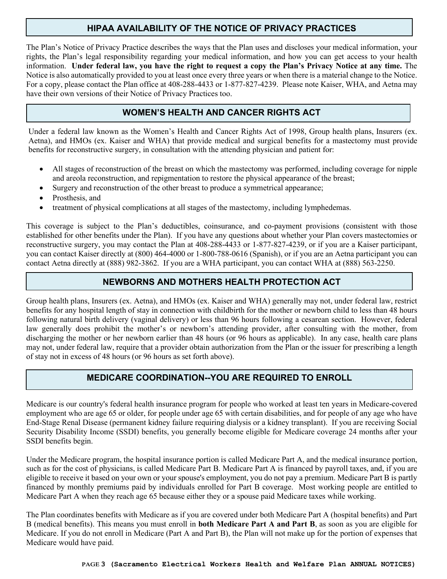# **HIPAA AVAILABILITY OF THE NOTICE OF PRIVACY PRACTICES**

The Plan's Notice of Privacy Practice describes the ways that the Plan uses and discloses your medical information, your rights, the Plan's legal responsibility regarding your medical information, and how you can get access to your health information. **Under federal law, you have the right to request a copy the Plan's Privacy Notice at any time.** The Notice is also automatically provided to you at least once every three years or when there is a material change to the Notice. For a copy, please contact the Plan office at 408-288-4433 or 1-877-827-4239. Please note Kaiser, WHA, and Aetna may have their own versions of their Notice of Privacy Practices too.

# **WOMEN'S HEALTH AND CANCER RIGHTS ACT**

Under a federal law known as the Women's Health and Cancer Rights Act of 1998, Group health plans, Insurers (ex. Aetna), and HMOs (ex. Kaiser and WHA) that provide medical and surgical benefits for a mastectomy must provide benefits for reconstructive surgery, in consultation with the attending physician and patient for:

- All stages of reconstruction of the breast on which the mastectomy was performed, including coverage for nipple and areola reconstruction, and repigmentation to restore the physical appearance of the breast;
- Surgery and reconstruction of the other breast to produce a symmetrical appearance;
- Prosthesis, and
- treatment of physical complications at all stages of the mastectomy, including lymphedemas.

This coverage is subject to the Plan's deductibles, coinsurance, and co-payment provisions (consistent with those established for other benefits under the Plan). If you have any questions about whether your Plan covers mastectomies or reconstructive surgery, you may contact the Plan at 408-288-4433 or 1-877-827-4239, or if you are a Kaiser participant, you can contact Kaiser directly at (800) 464-4000 or 1-800-788-0616 (Spanish), or if you are an Aetna participant you can contact Aetna directly at (888) 982-3862. If you are a WHA participant, you can contact WHA at (888) 563-2250.

### **NEWBORNS AND MOTHERS HEALTH PROTECTION ACT**

Group health plans, Insurers (ex. Aetna), and HMOs (ex. Kaiser and WHA) generally may not, under federal law, restrict benefits for any hospital length of stay in connection with childbirth for the mother or newborn child to less than 48 hours following natural birth delivery (vaginal delivery) or less than 96 hours following a cesarean section. However, federal law generally does prohibit the mother's or newborn's attending provider, after consulting with the mother, from discharging the mother or her newborn earlier than 48 hours (or 96 hours as applicable). In any case, health care plans may not, under federal law, require that a provider obtain authorization from the Plan or the issuer for prescribing a length of stay not in excess of 48 hours (or 96 hours as set forth above).

# **MEDICARE COORDINATION--YOU ARE REQUIRED TO ENROLL**

Medicare is our country's federal health insurance program for people who worked at least ten years in Medicare-covered employment who are age 65 or older, for people under age 65 with certain disabilities, and for people of any age who have End-Stage Renal Disease (permanent kidney failure requiring dialysis or a kidney transplant). If you are receiving Social Security Disability Income (SSDI) benefits, you generally become eligible for Medicare coverage 24 months after your SSDI benefits begin.

Under the Medicare program, the hospital insurance portion is called Medicare Part A, and the medical insurance portion, such as for the cost of physicians, is called Medicare Part B. Medicare Part A is financed by payroll taxes, and, if you are eligible to receive it based on your own or your spouse's employment, you do not pay a premium. Medicare Part B is partly financed by monthly premiums paid by individuals enrolled for Part B coverage. Most working people are entitled to Medicare Part A when they reach age 65 because either they or a spouse paid Medicare taxes while working.

The Plan coordinates benefits with Medicare as if you are covered under both Medicare Part A (hospital benefits) and Part B (medical benefits). This means you must enroll in **both Medicare Part A and Part B**, as soon as you are eligible for Medicare. If you do not enroll in Medicare (Part A and Part B), the Plan will not make up for the portion of expenses that Medicare would have paid.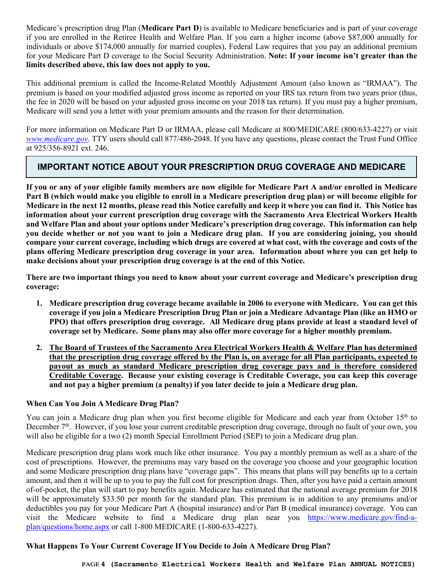Medicare's prescription drug Plan (**Medicare Part D**) is available to Medicare beneficiaries and is part of your coverage if you are enrolled in the Retiree Health and Welfare Plan. If you earn a higher income (above \$87,000 annually for individuals or above \$174,000 annually for married couples), Federal Law requires that you pay an additional premium for your Medicare Part D coverage to the Social Security Administration. **Note: If your income isn't greater than the limits described above, this law does not apply to you.**

This additional premium is called the Income-Related Monthly Adjustment Amount (also known as "IRMAA"). The premium is based on your modified adjusted gross income as reported on your IRS tax return from two years prior (thus, the fee in 2020 will be based on your adjusted gross income on your 2018 tax return). If you must pay a higher premium, Medicare will send you a letter with your premium amounts and the reason for their determination.

For more information on Medicare Part D or IRMAA, please call Medicare at 800/MEDICARE (800/633-4227) or visit *[www.medicare.gov](http://www.medicare.gove/)*. TTY users should call 877/486-2048. If you have any questions, please contact the Trust Fund Office at 925/356-8921 ext. 246.

# **IMPORTANT NOTICE ABOUT YOUR PRESCRIPTION DRUG COVERAGE AND MEDICARE**

**If you or any of your eligible family members are now eligible for Medicare Part A and/or enrolled in Medicare Part B (which would make you eligible to enroll in a Medicare prescription drug plan) or will become eligible for Medicare in the next 12 months, please read this Notice carefully and keep it where you can find it. This Notice has information about your current prescription drug coverage with the Sacramento Area Electrical Workers Health and Welfare Plan and about your options under Medicare's prescription drug coverage. This information can help** you decide whether or not you want to join a Medicare drug plan. If you are considering joining, you should compare your current coverage, including which drugs are covered at what cost, with the coverage and costs of the **plans offering Medicare prescription drug coverage in your area. Information about where you can get help to make decisions about your prescription drug coverage is at the end of this Notice.** 

There are two important things you need to know about your current coverage and Medicare's prescription drug **coverage:**

- **1. Medicare prescription drug coverage became available in 2006 to everyone with Medicare. You can get this** coverage if you join a Medicare Prescription Drug Plan or join a Medicare Advantage Plan (like an HMO or **PPO) that offers prescription drug coverage. All Medicare drug plans provide at least a standard level of coverage set by Medicare. Some plans may also offer more coverage for a higher monthly premium.**
- **2. The Board of Trustees of the Sacramento Area Electrical Workers Health & Welfare Plan has determined that the prescription drug coverage offered by the Plan is, on average for all Plan participants, expected to payout as much as standard Medicare prescription drug coverage pays and is therefore considered Creditable Coverage. Because your existing coverage is Creditable Coverage, you can keep this coverage and not pay a higher premium (a penalty) if you later decide to join a Medicare drug plan.**

#### **When Can You Join A Medicare Drug Plan?**

You can join a Medicare drug plan when you first become eligible for Medicare and each year from October 15<sup>th</sup> to December  $7<sup>th</sup>$ . However, if you lose your current creditable prescription drug coverage, through no fault of your own, you will also be eligible for a two (2) month Special Enrollment Period (SEP) to join a Medicare drug plan.

Medicare prescription drug plans work much like other insurance. You pay a monthly premium as well as a share of the cost of prescriptions. However, the premiums may vary based on the coverage you choose and your geographic location and some Medicare prescription drug plans have "coverage gaps". This means that plans will pay benefits up to a certain amount, and then it will be up to you to pay the full cost for prescription drugs. Then, after you have paid a certain amount of-of-pocket, the plan will start to pay benefits again. Medicare has estimated that the national average premium for 2018 will be approximately \$33.50 per month for the standard plan. This premium is in addition to any premiums and/or deductibles you pay for your Medicare Part A (hospital insurance) and/or Part B (medical insurance) coverage. You can visit the Medicare website to find a Medicare drug plan near you [https://www.medicare.gov/find-a](https://www.medicare.gov/find-a-plan/questions/home.aspx)[plan/questions/home.aspx](https://www.medicare.gov/find-a-plan/questions/home.aspx) or call 1-800 MEDICARE (1-800-633-4227).

### **What Happens To Your Current Coverage If You Decide to Join A Medicare Drug Plan?**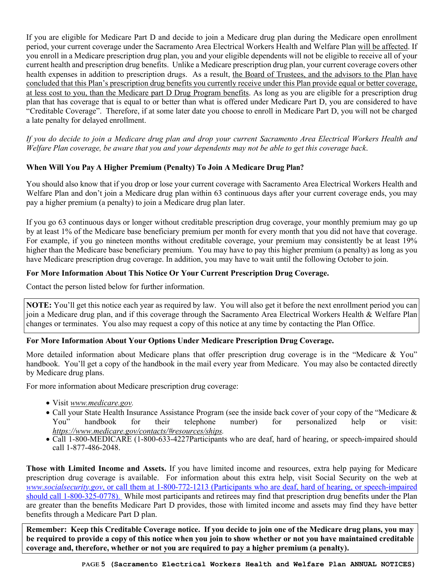If you are eligible for Medicare Part D and decide to join a Medicare drug plan during the Medicare open enrollment period, your current coverage under the Sacramento Area Electrical Workers Health and Welfare Plan will be affected. If you enroll in a Medicare prescription drug plan, you and your eligible dependents will not be eligible to receive all of your current health and prescription drug benefits. Unlike a Medicare prescription drug plan, your current coverage covers other health expenses in addition to prescription drugs. As a result, the Board of Trustees, and the advisors to the Plan have concluded that this Plan's prescription drug benefits you currently receive under this Plan provide equal or better coverage, at less cost to you, than the Medicare part D Drug Program benefits. As long as you are eligible for a prescription drug plan that has coverage that is equal to or better than what is offered under Medicare Part D, you are considered to have "Creditable Coverage". Therefore, if at some later date you choose to enroll in Medicare Part D, you will not be charged a late penalty for delayed enrollment.

*If you do decide to join a Medicare drug plan and drop your current Sacramento Area Electrical Workers Health and Welfare Plan coverage, be aware that you and your dependents may not be able to get this coverage back*.

### **When Will You Pay A Higher Premium (Penalty) To Join A Medicare Drug Plan?**

You should also know that if you drop or lose your current coverage with Sacramento Area Electrical Workers Health and Welfare Plan and don't join a Medicare drug plan within 63 continuous days after your current coverage ends, you may pay a higher premium (a penalty) to join a Medicare drug plan later.

If you go 63 continuous days or longer without creditable prescription drug coverage, your monthly premium may go up by at least 1% of the Medicare base beneficiary premium per month for every month that you did not have that coverage. For example, if you go nineteen months without creditable coverage, your premium may consistently be at least 19% higher than the Medicare base beneficiary premium. You may have to pay this higher premium (a penalty) as long as you have Medicare prescription drug coverage. In addition, you may have to wait until the following October to join.

#### **For More Information About This Notice Or Your Current Prescription Drug Coverage.**

Contact the person listed below for further information.

**NOTE:** You'll get this notice each year as required by law. You will also get it before the next enrollment period you can join a Medicare drug plan, and if this coverage through the Sacramento Area Electrical Workers Health & Welfare Plan changes or terminates. You also may request a copy of this notice at any time by contacting the Plan Office.

#### **For More Information About Your Options Under Medicare Prescription Drug Coverage.**

More detailed information about Medicare plans that offer prescription drug coverage is in the "Medicare & You" handbook. You'll get a copy of the handbook in the mail every year from Medicare. You may also be contacted directly by Medicare drug plans.

For more information about Medicare prescription drug coverage:

- Vis[it](http://www.medicare.gov/) *[www.medicare.gov.](http://www.medicare.gov/)*
- Call your State Health Insurance Assistance Program (see the inside back cover of your copy of the "Medicare & You" handbook for their telephone number) for personalized help or visit: *https://www.medicare.gov/contacts/#resources/ships.*
- Call 1-800-MEDICARE (1-800-633-4227Participants who are deaf, hard of hearing, or speech-impaired should call 1-877-486-2048.

**Those with Limited Income and Assets.** If you have limited income and resources, extra help paying for Medicare prescription drug coverage is available. For information about this extra help, visit Social Security on the web at *www.socialsecurity.gov*, or call them at 1-800-772-1213 (Participants who are deaf, hard of hearing, or speech-impaired should call 1-800-325-0778). While most participants and retirees may find that prescription drug benefits under the Plan are greater than the benefits Medicare Part D provides, those with limited income and assets may find they have better benefits through a Medicare Part D plan.

**Remember: Keep this Creditable Coverage notice. If you decide to join one of the Medicare drug plans, you may** be required to provide a copy of this notice when you join to show whether or not you have maintained creditable **coverage and, therefore, whether or not you are required to pay a higher premium (a penalty).**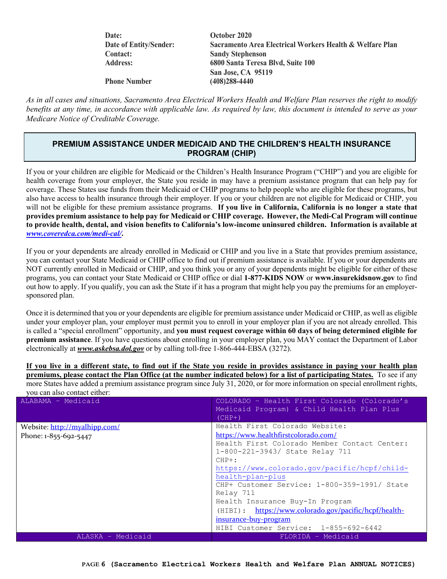**Date: October 2020 Contact: Sandy Stephenson**

**Date of Entity/Sender: Sacramento Area Electrical Workers Health & Welfare Plan Address: 6800 Santa Teresa Blvd, Suite 100 San Jose, CA 95119**

**Phone Number (408)288-4440**

*As in all cases and situations, Sacramento Area Electrical Workers Health and Welfare Plan reserves the right to modify benefits at any time, in accordance with applicable law. As required by law, this document is intended to serve as your Medicare Notice of Creditable Coverage.* 

### **PREMIUM ASSISTANCE UNDER MEDICAID AND THE CHILDREN'S HEALTH INSURANCE PROGRAM (CHIP)**

If you or your children are eligible for Medicaid or the Children's Health Insurance Program ("CHIP") and you are eligible for health coverage from your employer, the State you reside in may have a premium assistance program that can help pay for coverage. These States use funds from their Medicaid or CHIP programs to help people who are eligible for these programs, but also have access to health insurance through their employer. If you or your children are not eligible for Medicaid or CHIP, you will not be eligible for these premium assistance programs. **If you live in California, California is no longer a state that provides premium assistance to help pay for Medicaid or CHIP coverage. However, the Medi-Cal Program will continue to provide health, dental, and vision benefits to California's low-income uninsured children. Information is available at**  *[www.coveredca.com/medi-cal/](http://www.coveredca.com/medi-cal/)***.** 

If you or your dependents are already enrolled in Medicaid or CHIP and you live in a State that provides premium assistance, you can contact your State Medicaid or CHIP office to find out if premium assistance is available. If you or your dependents are NOT currently enrolled in Medicaid or CHIP, and you think you or any of your dependents might be eligible for either of these programs, you can contact your State Medicaid or CHIP office or dial **1-877-KIDS NOW** or **www.insurekidsnow.gov** to find out how to apply. If you qualify, you can ask the State if it has a program that might help you pay the premiums for an employersponsored plan.

Once it is determined that you or your dependents are eligible for premium assistance under Medicaid or CHIP, as well as eligible under your employer plan, your employer must permit you to enroll in your employer plan if you are not already enrolled. This is called a "special enrollment" opportunity, and **you must request coverage within 60 days of being determined eligible for premium assistance**. If you have questions about enrolling in your employer plan, you MAY contact the Department of Labor electronically at *[www.askebsa.dol.gov](http://www.askebsa.dol.gov/)* or by calling toll-free 1-866-444-EBSA (3272).

**If you live in a different state, to find out if the State you reside in provides assistance in paying your health plan premiums, please contact the Plan Office (at the number indicated below) for a list of participating States.** To see if any more States have added a premium assistance program since July 31, 2020, or for more information on special enrollment rights, you can also contact either:

| ALABAMA - Medicaid            | COLORADO - Health First Colorado (Colorado's<br>Medicaid Program) & Child Health Plan Plus<br>$(CHP+)$                                                                             |
|-------------------------------|------------------------------------------------------------------------------------------------------------------------------------------------------------------------------------|
| Website: http://myalhipp.com/ | Health First Colorado Website:                                                                                                                                                     |
| Phone: 1-855-692-5447         | https://www.healthfirstcolorado.com/<br>Health First Colorado Member Contact Center:<br>1-800-221-3943/ State Relay 711<br>$CHP+:$<br>https://www.colorado.gov/pacific/hcpf/child- |
|                               | health-plan-plus                                                                                                                                                                   |
|                               | CHP+ Customer Service: 1-800-359-1991/ State<br>Relay 711                                                                                                                          |
|                               | Health Insurance Buy-In Program                                                                                                                                                    |
|                               | $(HIBI):$ https://www.colorado.gov/pacific/hcpf/health-                                                                                                                            |
|                               | insurance-buy-program                                                                                                                                                              |
|                               | HIBI Customer Service: 1-855-692-6442                                                                                                                                              |
| ALASKA - Medicaid             | FLORIDA - Medicaid                                                                                                                                                                 |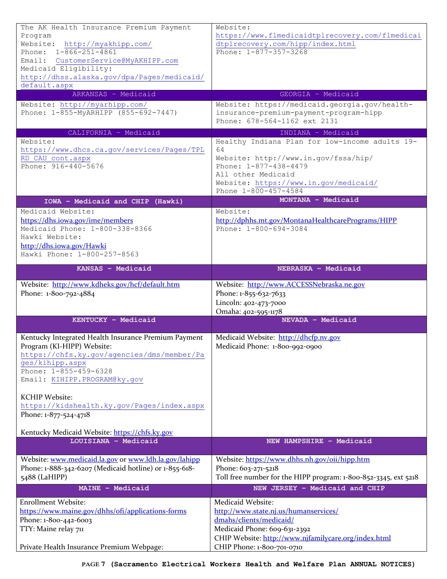| The AK Health Insurance Premium Payment<br>Program                              | Website:<br>https://www.flmedicaidtplrecovery.com/flmedicai                             |
|---------------------------------------------------------------------------------|-----------------------------------------------------------------------------------------|
| Website: http://myakhipp.com/<br>Phone: $1-866-251-4861$                        | dtplrecovery.com/hipp/index.html                                                        |
| Email: CustomerService@MyAKHIPP.com                                             | Phone: 1-877-357-3268                                                                   |
| Medicaid Eligibility:                                                           |                                                                                         |
| http://dhss.alaska.gov/dpa/Pages/medicaid/<br>default.aspx                      |                                                                                         |
| ARKANSAS - Medicaid                                                             | GEORGIA - Medicaid                                                                      |
| Website: http://myarhipp.com/<br>Phone: 1-855-MyARHIPP (855-692-7447)           | Website: https://medicaid.georgia.gov/health-<br>insurance-premium-payment-program-hipp |
|                                                                                 | Phone: 678-564-1162 ext 2131                                                            |
| CALIFORNIA - Medicaid                                                           | INDIANA - Medicaid                                                                      |
| Website:<br>https://www.dhcs.ca.gov/services/Pages/TPL                          | Healthy Indiana Plan for low-income adults 19-<br>64                                    |
| RD CAU cont.aspx                                                                | Website: http://www.in.gov/fssa/hip/                                                    |
| Phone: 916-440-5676                                                             | Phone: 1-877-438-4479<br>All other Medicaid                                             |
|                                                                                 | Website: https://www.in.gov/medicaid/                                                   |
|                                                                                 | Phone 1-800-457-4584                                                                    |
| IOWA - Medicaid and CHIP (Hawki)<br>Medicaid Website:                           | MONTANA - Medicaid                                                                      |
| https://dhs.iowa.gov/ime/members                                                | Website:<br>http://dphhs.mt.gov/MontanaHealthcarePrograms/HIPP                          |
| Medicaid Phone: 1-800-338-8366                                                  | Phone: 1-800-694-3084                                                                   |
| Hawki Website:<br>http://dhs.iowa.gov/Hawki                                     |                                                                                         |
| Hawki Phone: 1-800-257-8563                                                     |                                                                                         |
| KANSAS - Medicaid                                                               | NEBRASKA - Medicaid                                                                     |
| Website: http://www.kdheks.gov/hcf/default.htm                                  | Website: http://www.ACCESSNebraska.ne.gov                                               |
| Phone: 1-800-792-4884                                                           | Phone: 1-855-632-7633                                                                   |
|                                                                                 | Lincoln: 402-473-7000<br>Omaha: 402-595-1178                                            |
| KENTUCKY - Medicaid                                                             | NEVADA - Medicaid                                                                       |
|                                                                                 |                                                                                         |
|                                                                                 |                                                                                         |
| Kentucky Integrated Health Insurance Premium Payment                            | Medicaid Website: http://dhcfp.nv.gov                                                   |
| Program (KI-HIPP) Website:<br>https://chfs.ky.gov/agencies/dms/member/Pa        | Medicaid Phone: 1-800-992-0900                                                          |
| ges/kihipp.aspx                                                                 |                                                                                         |
| Phone: 1-855-459-6328<br>Email: KIHIPP.PROGRAM@ky.gov                           |                                                                                         |
|                                                                                 |                                                                                         |
| <b>KCHIP Website:</b><br>https://kidshealth.ky.gov/Pages/index.aspx             |                                                                                         |
| Phone: 1-877-524-4718                                                           |                                                                                         |
| Kentucky Medicaid Website: https://chfs.ky.gov                                  |                                                                                         |
| LOUISIANA - Medicaid                                                            | NEW HAMPSHIRE - Medicaid                                                                |
| Website: www.medicaid.la.gov or www.ldh.la.gov/lahipp                           | Website: https://www.dhhs.nh.gov/oii/hipp.htm                                           |
| Phone: 1-888-342-6207 (Medicaid hotline) or 1-855-618-                          | Phone: 603-271-5218                                                                     |
| 5488 (LaHIPP)                                                                   | Toll free number for the HIPP program: 1-800-852-3345, ext 5218                         |
| MAINE - Medicaid                                                                | NEW JERSEY - Medicaid and CHIP                                                          |
| <b>Enrollment Website:</b><br>https://www.maine.gov/dhhs/ofi/applications-forms | Medicaid Website:<br>http://www.state.nj.us/humanservices/                              |
| Phone: 1-800-442-6003                                                           | dmahs/clients/medicaid/                                                                 |
| TTY: Maine relay 711                                                            | Medicaid Phone: 609-631-2392<br>CHIP Website: http://www.njfamilycare.org/index.html    |